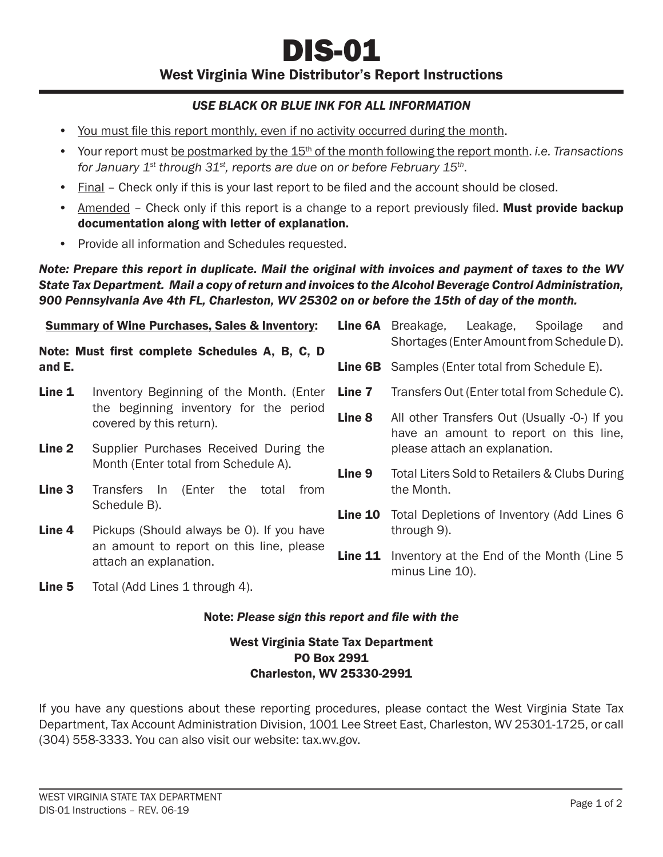# *USE BLACK OR BLUE INK FOR ALL INFORMATION*

- You must file this report monthly, even if no activity occurred during the month.
- Your report must be postmarked by the 15th of the month following the report month. *i.e. Transactions for January 1st through 31st, reports are due on or before February 15th*.
- Final Check only if this is your last report to be filed and the account should be closed.
- Amended Check only if this report is a change to a report previously filed. Must provide backup documentation along with letter of explanation.
- Provide all information and Schedules requested.

*Note: Prepare this report in duplicate. Mail the original with invoices and payment of taxes to the WV State Tax Department. Mail a copy of return and invoices to the Alcohol Beverage Control Administration, 900 Pennsylvania Ave 4th FL, Charleston, WV 25302 on or before the 15th of day of the month.*

| <b>Summary of Wine Purchases, Sales &amp; Inventory:</b><br>Note: Must first complete Schedules A, B, C, D<br>and E. |                                                                                                                                                                                   | <b>Line 6A</b> | Breakage,<br>Leakage,<br>Spoilage<br>and<br>Shortages (Enter Amount from Schedule D).  |
|----------------------------------------------------------------------------------------------------------------------|-----------------------------------------------------------------------------------------------------------------------------------------------------------------------------------|----------------|----------------------------------------------------------------------------------------|
|                                                                                                                      |                                                                                                                                                                                   | <b>Line 6B</b> | Samples (Enter total from Schedule E).                                                 |
| Line 1                                                                                                               | Inventory Beginning of the Month. (Enter<br>the beginning inventory for the period<br>covered by this return).                                                                    | Line 7         | Transfers Out (Enter total from Schedule C).                                           |
|                                                                                                                      |                                                                                                                                                                                   | Line 8         | All other Transfers Out (Usually -0-) If you<br>have an amount to report on this line, |
| Line <sub>2</sub>                                                                                                    | Supplier Purchases Received During the                                                                                                                                            |                | please attach an explanation.                                                          |
|                                                                                                                      | Month (Enter total from Schedule A).                                                                                                                                              | Line 9         | Total Liters Sold to Retailers & Clubs During                                          |
| Line <sub>3</sub><br>Line 4                                                                                          | (Enter<br>Transfers In<br>the<br>total<br>from<br>Schedule B).<br>Pickups (Should always be 0). If you have<br>an amount to report on this line, please<br>attach an explanation. |                | the Month.                                                                             |
|                                                                                                                      |                                                                                                                                                                                   | Line 10        | Total Depletions of Inventory (Add Lines 6<br>through 9).                              |
|                                                                                                                      |                                                                                                                                                                                   |                |                                                                                        |
|                                                                                                                      |                                                                                                                                                                                   | Line 11        | Inventory at the End of the Month (Line 5)<br>minus Line 10).                          |
|                                                                                                                      |                                                                                                                                                                                   |                |                                                                                        |

**Line 5** Total (Add Lines 1 through 4).

#### Note: *Please sign this report and fi le with the*

### West Virginia State Tax Department PO Box 2991 Charleston, WV 25330-2991

If you have any questions about these reporting procedures, please contact the West Virginia State Tax Department, Tax Account Administration Division, 1001 Lee Street East, Charleston, WV 25301-1725, or call (304) 558-3333. You can also visit our website: tax.wv.gov.